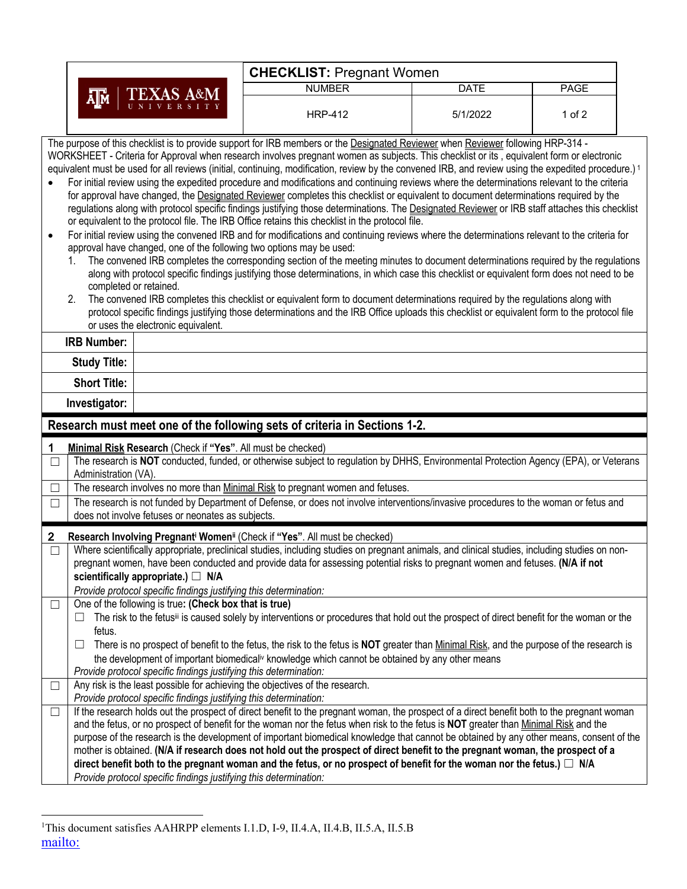|                        | <b>CHECKLIST: Pregnant Women</b>                                                                                                                                                                                                                                                                                                                                                                                                                                                                                                                                                                                                                                                                                                                                                                                                                                                                                                                                                                                                                                                                                                                                                                                                                                                                                                                                                                                                                                                                                                                                                                                                                                                                                                                                                                                                                                  |                                                                                                                                                                                                                                                                                     |          |             |  |  |  |  |
|------------------------|-------------------------------------------------------------------------------------------------------------------------------------------------------------------------------------------------------------------------------------------------------------------------------------------------------------------------------------------------------------------------------------------------------------------------------------------------------------------------------------------------------------------------------------------------------------------------------------------------------------------------------------------------------------------------------------------------------------------------------------------------------------------------------------------------------------------------------------------------------------------------------------------------------------------------------------------------------------------------------------------------------------------------------------------------------------------------------------------------------------------------------------------------------------------------------------------------------------------------------------------------------------------------------------------------------------------------------------------------------------------------------------------------------------------------------------------------------------------------------------------------------------------------------------------------------------------------------------------------------------------------------------------------------------------------------------------------------------------------------------------------------------------------------------------------------------------------------------------------------------------|-------------------------------------------------------------------------------------------------------------------------------------------------------------------------------------------------------------------------------------------------------------------------------------|----------|-------------|--|--|--|--|
|                        | <b>TEXAS A&amp;M</b>                                                                                                                                                                                                                                                                                                                                                                                                                                                                                                                                                                                                                                                                                                                                                                                                                                                                                                                                                                                                                                                                                                                                                                                                                                                                                                                                                                                                                                                                                                                                                                                                                                                                                                                                                                                                                                              | <b>NUMBER</b>                                                                                                                                                                                                                                                                       | DATE     | <b>PAGE</b> |  |  |  |  |
|                        | ᄴ                                                                                                                                                                                                                                                                                                                                                                                                                                                                                                                                                                                                                                                                                                                                                                                                                                                                                                                                                                                                                                                                                                                                                                                                                                                                                                                                                                                                                                                                                                                                                                                                                                                                                                                                                                                                                                                                 | <b>HRP-412</b>                                                                                                                                                                                                                                                                      | 5/1/2022 | 1 of $2$    |  |  |  |  |
| $\bullet$<br>$\bullet$ | The purpose of this checklist is to provide support for IRB members or the Designated Reviewer when Reviewer following HRP-314 -<br>WORKSHEET - Criteria for Approval when research involves pregnant women as subjects. This checklist or its, equivalent form or electronic<br>equivalent must be used for all reviews (initial, continuing, modification, review by the convened IRB, and review using the expedited procedure.) <sup>1</sup><br>For initial review using the expedited procedure and modifications and continuing reviews where the determinations relevant to the criteria<br>for approval have changed, the Designated Reviewer completes this checklist or equivalent to document determinations required by the<br>regulations along with protocol specific findings justifying those determinations. The Designated Reviewer or IRB staff attaches this checklist<br>or equivalent to the protocol file. The IRB Office retains this checklist in the protocol file.<br>For initial review using the convened IRB and for modifications and continuing reviews where the determinations relevant to the criteria for<br>approval have changed, one of the following two options may be used:<br>The convened IRB completes the corresponding section of the meeting minutes to document determinations required by the regulations<br>along with protocol specific findings justifying those determinations, in which case this checklist or equivalent form does not need to be<br>completed or retained.<br>The convened IRB completes this checklist or equivalent form to document determinations required by the regulations along with<br>2.<br>protocol specific findings justifying those determinations and the IRB Office uploads this checklist or equivalent form to the protocol file<br>or uses the electronic equivalent. |                                                                                                                                                                                                                                                                                     |          |             |  |  |  |  |
|                        | <b>IRB Number:</b>                                                                                                                                                                                                                                                                                                                                                                                                                                                                                                                                                                                                                                                                                                                                                                                                                                                                                                                                                                                                                                                                                                                                                                                                                                                                                                                                                                                                                                                                                                                                                                                                                                                                                                                                                                                                                                                |                                                                                                                                                                                                                                                                                     |          |             |  |  |  |  |
|                        | <b>Study Title:</b><br><b>Short Title:</b>                                                                                                                                                                                                                                                                                                                                                                                                                                                                                                                                                                                                                                                                                                                                                                                                                                                                                                                                                                                                                                                                                                                                                                                                                                                                                                                                                                                                                                                                                                                                                                                                                                                                                                                                                                                                                        |                                                                                                                                                                                                                                                                                     |          |             |  |  |  |  |
|                        | Investigator:                                                                                                                                                                                                                                                                                                                                                                                                                                                                                                                                                                                                                                                                                                                                                                                                                                                                                                                                                                                                                                                                                                                                                                                                                                                                                                                                                                                                                                                                                                                                                                                                                                                                                                                                                                                                                                                     |                                                                                                                                                                                                                                                                                     |          |             |  |  |  |  |
|                        | Research must meet one of the following sets of criteria in Sections 1-2.                                                                                                                                                                                                                                                                                                                                                                                                                                                                                                                                                                                                                                                                                                                                                                                                                                                                                                                                                                                                                                                                                                                                                                                                                                                                                                                                                                                                                                                                                                                                                                                                                                                                                                                                                                                         |                                                                                                                                                                                                                                                                                     |          |             |  |  |  |  |
| 1                      | Minimal Risk Research (Check if "Yes". All must be checked)                                                                                                                                                                                                                                                                                                                                                                                                                                                                                                                                                                                                                                                                                                                                                                                                                                                                                                                                                                                                                                                                                                                                                                                                                                                                                                                                                                                                                                                                                                                                                                                                                                                                                                                                                                                                       |                                                                                                                                                                                                                                                                                     |          |             |  |  |  |  |
| $\Box$                 | Administration (VA).                                                                                                                                                                                                                                                                                                                                                                                                                                                                                                                                                                                                                                                                                                                                                                                                                                                                                                                                                                                                                                                                                                                                                                                                                                                                                                                                                                                                                                                                                                                                                                                                                                                                                                                                                                                                                                              | The research is NOT conducted, funded, or otherwise subject to regulation by DHHS, Environmental Protection Agency (EPA), or Veterans                                                                                                                                               |          |             |  |  |  |  |
| $\Box$                 | The research involves no more than Minimal Risk to pregnant women and fetuses.                                                                                                                                                                                                                                                                                                                                                                                                                                                                                                                                                                                                                                                                                                                                                                                                                                                                                                                                                                                                                                                                                                                                                                                                                                                                                                                                                                                                                                                                                                                                                                                                                                                                                                                                                                                    |                                                                                                                                                                                                                                                                                     |          |             |  |  |  |  |
| $\Box$                 | The research is not funded by Department of Defense, or does not involve interventions/invasive procedures to the woman or fetus and<br>does not involve fetuses or neonates as subjects.                                                                                                                                                                                                                                                                                                                                                                                                                                                                                                                                                                                                                                                                                                                                                                                                                                                                                                                                                                                                                                                                                                                                                                                                                                                                                                                                                                                                                                                                                                                                                                                                                                                                         |                                                                                                                                                                                                                                                                                     |          |             |  |  |  |  |
| $\mathbf 2$            | Research Involving Pregnanti Womenii (Check if "Yes". All must be checked)                                                                                                                                                                                                                                                                                                                                                                                                                                                                                                                                                                                                                                                                                                                                                                                                                                                                                                                                                                                                                                                                                                                                                                                                                                                                                                                                                                                                                                                                                                                                                                                                                                                                                                                                                                                        |                                                                                                                                                                                                                                                                                     |          |             |  |  |  |  |
| $\Box$                 | scientifically appropriate.) □ N/A<br>Provide protocol specific findings justifying this determination:                                                                                                                                                                                                                                                                                                                                                                                                                                                                                                                                                                                                                                                                                                                                                                                                                                                                                                                                                                                                                                                                                                                                                                                                                                                                                                                                                                                                                                                                                                                                                                                                                                                                                                                                                           | Where scientifically appropriate, preclinical studies, including studies on pregnant animals, and clinical studies, including studies on non-<br>pregnant women, have been conducted and provide data for assessing potential risks to pregnant women and fetuses. (N/A if not      |          |             |  |  |  |  |
|                        | One of the following is true: (Check box that is true)                                                                                                                                                                                                                                                                                                                                                                                                                                                                                                                                                                                                                                                                                                                                                                                                                                                                                                                                                                                                                                                                                                                                                                                                                                                                                                                                                                                                                                                                                                                                                                                                                                                                                                                                                                                                            |                                                                                                                                                                                                                                                                                     |          |             |  |  |  |  |
|                        | ш<br>fetus.                                                                                                                                                                                                                                                                                                                                                                                                                                                                                                                                                                                                                                                                                                                                                                                                                                                                                                                                                                                                                                                                                                                                                                                                                                                                                                                                                                                                                                                                                                                                                                                                                                                                                                                                                                                                                                                       | The risk to the fetusii is caused solely by interventions or procedures that hold out the prospect of direct benefit for the woman or the                                                                                                                                           |          |             |  |  |  |  |
|                        | ш                                                                                                                                                                                                                                                                                                                                                                                                                                                                                                                                                                                                                                                                                                                                                                                                                                                                                                                                                                                                                                                                                                                                                                                                                                                                                                                                                                                                                                                                                                                                                                                                                                                                                                                                                                                                                                                                 | There is no prospect of benefit to the fetus, the risk to the fetus is NOT greater than Minimal Risk, and the purpose of the research is<br>the development of important biomedical <sup>iv</sup> knowledge which cannot be obtained by any other means                             |          |             |  |  |  |  |
|                        | Provide protocol specific findings justifying this determination:<br>Any risk is the least possible for achieving the objectives of the research.                                                                                                                                                                                                                                                                                                                                                                                                                                                                                                                                                                                                                                                                                                                                                                                                                                                                                                                                                                                                                                                                                                                                                                                                                                                                                                                                                                                                                                                                                                                                                                                                                                                                                                                 |                                                                                                                                                                                                                                                                                     |          |             |  |  |  |  |
|                        | Provide protocol specific findings justifying this determination:                                                                                                                                                                                                                                                                                                                                                                                                                                                                                                                                                                                                                                                                                                                                                                                                                                                                                                                                                                                                                                                                                                                                                                                                                                                                                                                                                                                                                                                                                                                                                                                                                                                                                                                                                                                                 |                                                                                                                                                                                                                                                                                     |          |             |  |  |  |  |
| $\Box$                 |                                                                                                                                                                                                                                                                                                                                                                                                                                                                                                                                                                                                                                                                                                                                                                                                                                                                                                                                                                                                                                                                                                                                                                                                                                                                                                                                                                                                                                                                                                                                                                                                                                                                                                                                                                                                                                                                   | If the research holds out the prospect of direct benefit to the pregnant woman, the prospect of a direct benefit both to the pregnant woman<br>and the fetus, or no prospect of benefit for the woman nor the fetus when risk to the fetus is NOT greater than Minimal Risk and the |          |             |  |  |  |  |
|                        | purpose of the research is the development of important biomedical knowledge that cannot be obtained by any other means, consent of the<br>mother is obtained. (N/A if research does not hold out the prospect of direct benefit to the pregnant woman, the prospect of a<br>direct benefit both to the pregnant woman and the fetus, or no prospect of benefit for the woman nor the fetus.) $\Box$ N/A                                                                                                                                                                                                                                                                                                                                                                                                                                                                                                                                                                                                                                                                                                                                                                                                                                                                                                                                                                                                                                                                                                                                                                                                                                                                                                                                                                                                                                                          |                                                                                                                                                                                                                                                                                     |          |             |  |  |  |  |
|                        | Provide protocol specific findings justifying this determination:                                                                                                                                                                                                                                                                                                                                                                                                                                                                                                                                                                                                                                                                                                                                                                                                                                                                                                                                                                                                                                                                                                                                                                                                                                                                                                                                                                                                                                                                                                                                                                                                                                                                                                                                                                                                 |                                                                                                                                                                                                                                                                                     |          |             |  |  |  |  |

mailto: <sup>1</sup>This document satisfies AAHRPP elements I.1.D, I-9, II.4.A, II.4.B, II.5.A, II.5.B